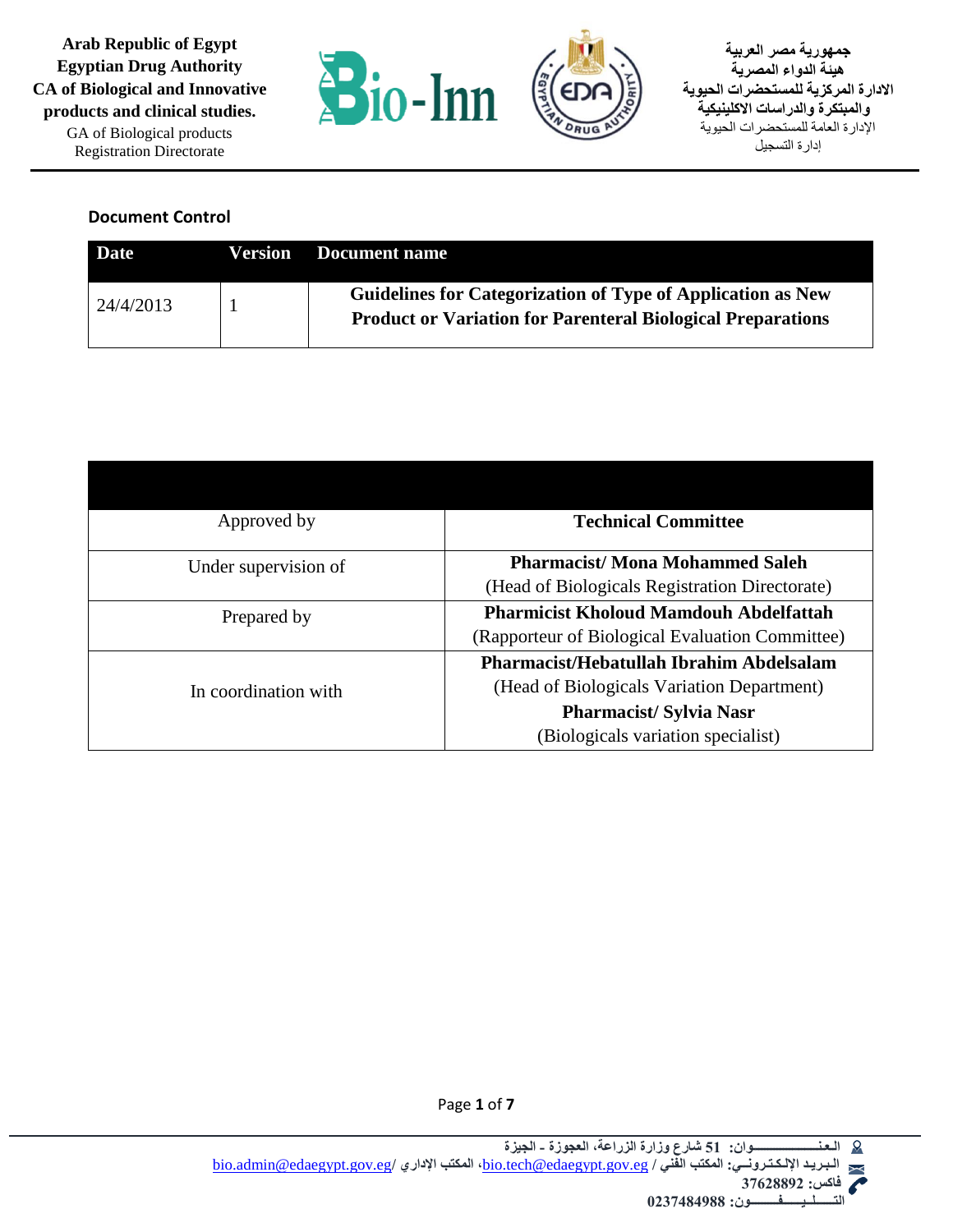

**جمهورية مصر العربية هيئة الدواء المصرية االدارة المركزية للمستحضرات الحيوية والمبتكرة والدراسات االكلينيكية** اإلدارة العامة للمستحضرات الحيوية إدارة التسجيل

#### **Document Control**

| Date             | Version | Document name                                                                                                                     |
|------------------|---------|-----------------------------------------------------------------------------------------------------------------------------------|
| $\mid$ 24/4/2013 |         | Guidelines for Categorization of Type of Application as New<br><b>Product or Variation for Parenteral Biological Preparations</b> |

| Approved by          | <b>Technical Committee</b>                      |
|----------------------|-------------------------------------------------|
| Under supervision of | <b>Pharmacist/Mona Mohammed Saleh</b>           |
|                      | (Head of Biologicals Registration Directorate)  |
| Prepared by          | <b>Pharmicist Kholoud Mamdouh Abdelfattah</b>   |
|                      | (Rapporteur of Biological Evaluation Committee) |
|                      | Pharmacist/Hebatullah Ibrahim Abdelsalam        |
| In coordination with | (Head of Biologicals Variation Department)      |
|                      | <b>Pharmacist/Sylvia Nasr</b>                   |
|                      | (Biologicals variation specialist)              |



Page **1** of **7**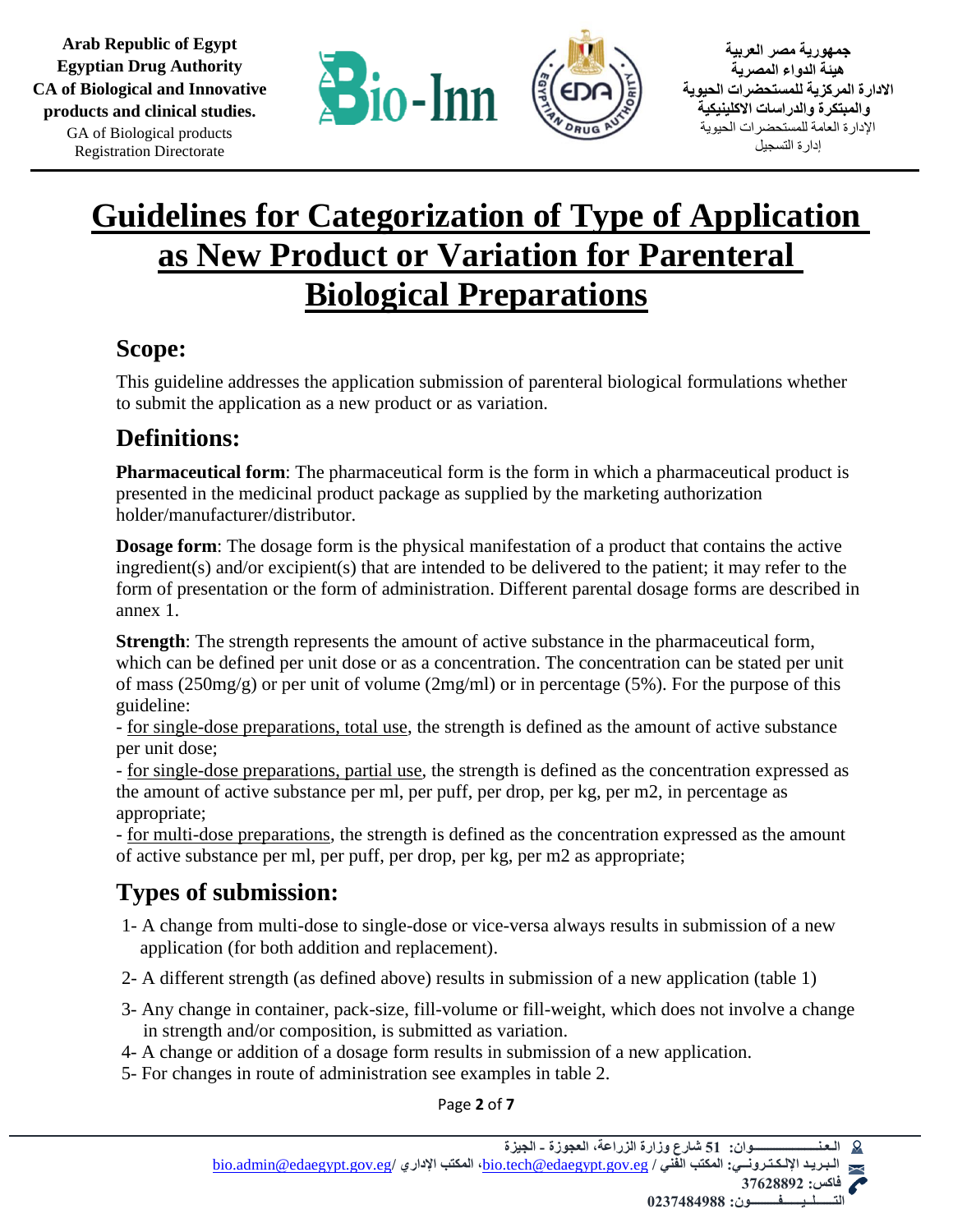

**جمهورية مصر العربية هيئة الدواء المصرية االدارة المركزية للمستحضرات الحيوية والمبتكرة والدراسات االكلينيكية** اإلدارة العامة للمستحضرات الحيوية إدارة التسجيل

### **Guidelines for Categorization of Type of Application as New Product or Variation for Parenteral Biological Preparations**

#### **Scope:**

This guideline addresses the application submission of parenteral biological formulations whether to submit the application as a new product or as variation.

#### **Definitions:**

**Pharmaceutical form**: The pharmaceutical form is the form in which a pharmaceutical product is presented in the medicinal product package as supplied by the marketing authorization holder/manufacturer/distributor.

**Dosage form**: The dosage form is the physical manifestation of a product that contains the active ingredient(s) and/or excipient(s) that are intended to be delivered to the patient; it may refer to the form of presentation or the form of administration. Different parental dosage forms are described in annex 1.

**Strength:** The strength represents the amount of active substance in the pharmaceutical form, which can be defined per unit dose or as a concentration. The concentration can be stated per unit of mass (250mg/g) or per unit of volume (2mg/ml) or in percentage (5%). For the purpose of this guideline:

- for single-dose preparations, total use, the strength is defined as the amount of active substance per unit dose;

- for single-dose preparations, partial use, the strength is defined as the concentration expressed as the amount of active substance per ml, per puff, per drop, per kg, per m2, in percentage as appropriate;

- for multi-dose preparations, the strength is defined as the concentration expressed as the amount of active substance per ml, per puff, per drop, per kg, per m2 as appropriate;

### **Types of submission:**

- 1- A change from multi-dose to single-dose or vice-versa always results in submission of a new application (for both addition and replacement).
- 2- A different strength (as defined above) results in submission of a new application (table 1)
- 3- Any change in container, pack-size, fill-volume or fill-weight, which does not involve a change in strength and/or composition, is submitted as variation.
- 4- A change or addition of a dosage form results in submission of a new application.
- 5- For changes in route of administration see examples in table 2.

Page **2** of **7**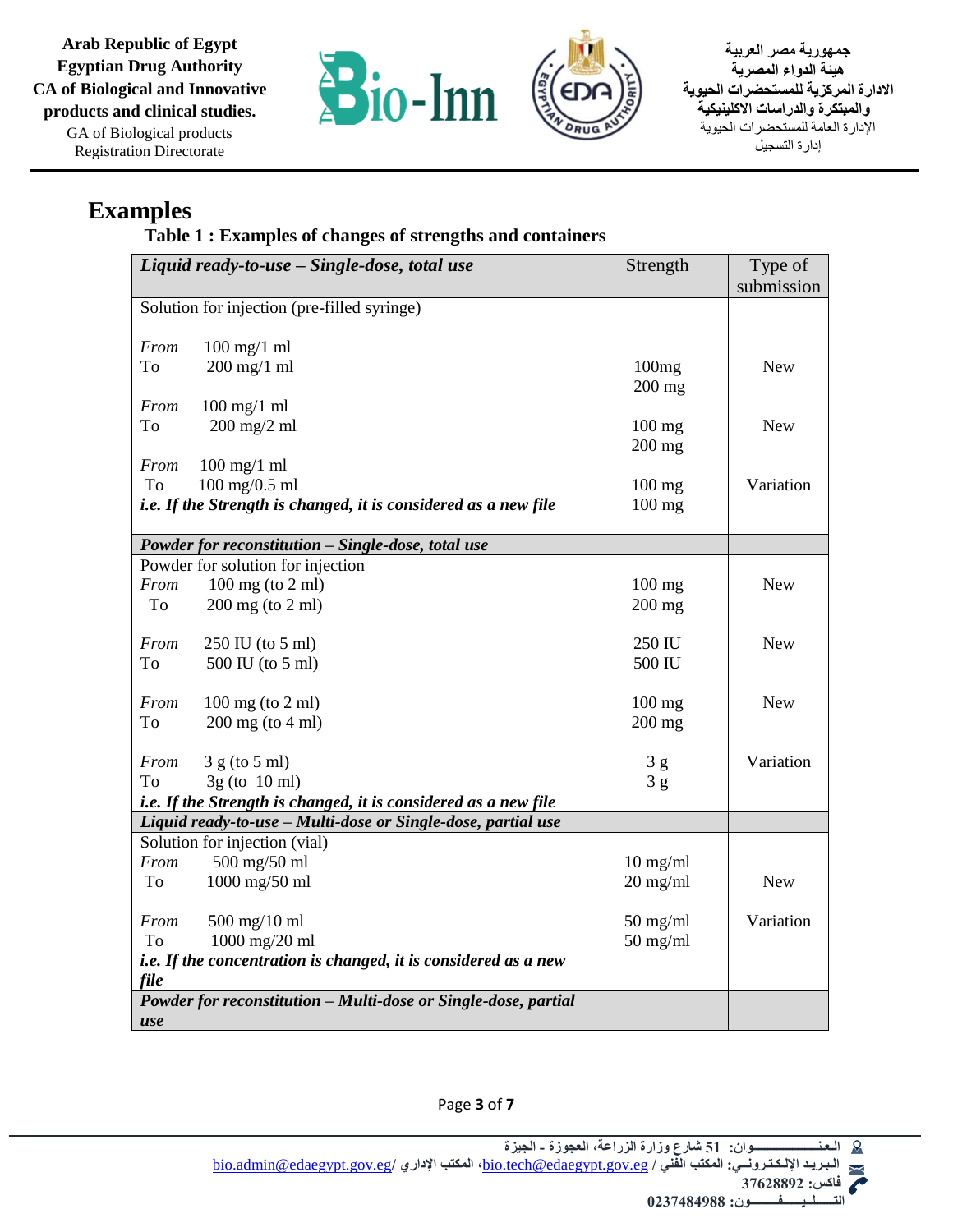**Arab Republic of Egypt Egyptian Drug Authority CA of Biological and Innovative products and clinical studies.** GA of Biological products Registration Directorate



**جمهورية مصر العربية هيئة الدواء المصرية االدارة المركزية للمستحضرات الحيوية والمبتكرة والدراسات االكلينيكية** اإلدارة العامة للمستحضرات الحيوية إدارة التسجيل

#### **Examples**

**Table 1 : Examples of changes of strengths and containers**

| Liquid ready-to-use - Single-dose, total use                    |                                                                 | Strength           | Type of    |
|-----------------------------------------------------------------|-----------------------------------------------------------------|--------------------|------------|
|                                                                 |                                                                 |                    | submission |
| Solution for injection (pre-filled syringe)                     |                                                                 |                    |            |
|                                                                 |                                                                 |                    |            |
| From                                                            | $100$ mg/1 ml                                                   |                    |            |
| To                                                              | $200$ mg/1 ml                                                   | 100mg              | <b>New</b> |
|                                                                 |                                                                 | $200$ mg           |            |
| From                                                            | $100$ mg/1 ml                                                   |                    |            |
| To                                                              | $200$ mg/2 ml                                                   | $100$ mg           | <b>New</b> |
|                                                                 |                                                                 | $200$ mg           |            |
| From                                                            | $100$ mg/1 ml                                                   |                    |            |
| To                                                              | $100 \text{ mg}/0.5 \text{ ml}$                                 | $100$ mg           | Variation  |
|                                                                 | i.e. If the Strength is changed, it is considered as a new file | $100$ mg           |            |
|                                                                 |                                                                 |                    |            |
|                                                                 | Powder for reconstitution - Single-dose, total use              |                    |            |
|                                                                 | Powder for solution for injection                               |                    |            |
| From                                                            | 100 mg (to 2 ml)                                                | $100$ mg           | <b>New</b> |
| To                                                              | $200$ mg (to $2$ ml)                                            | $200$ mg           |            |
|                                                                 |                                                                 |                    |            |
| From                                                            | 250 IU (to 5 ml)                                                | 250 IU             | <b>New</b> |
| To                                                              | 500 IU (to 5 ml)                                                | 500 IU             |            |
|                                                                 |                                                                 |                    |            |
| From                                                            | $100 \text{ mg}$ (to $2 \text{ ml}$ )                           | $100$ mg           | <b>New</b> |
| To                                                              | $200$ mg (to $4$ ml)                                            | $200$ mg           |            |
| From                                                            | 3 g (to 5 ml)                                                   | 3g                 | Variation  |
| To                                                              | $3g$ (to 10 ml)                                                 | 3g                 |            |
|                                                                 | i.e. If the Strength is changed, it is considered as a new file |                    |            |
| Liquid ready-to-use - Multi-dose or Single-dose, partial use    |                                                                 |                    |            |
|                                                                 | Solution for injection (vial)                                   |                    |            |
| From                                                            | 500 mg/50 ml                                                    | $10$ mg/ml         |            |
| To                                                              | $1000$ mg/50 ml                                                 | $20 \text{ mg/ml}$ | <b>New</b> |
|                                                                 |                                                                 |                    |            |
| From                                                            | $500$ mg/10 ml                                                  | $50 \text{ mg/ml}$ | Variation  |
| To                                                              | 1000 mg/20 ml                                                   | $50$ mg/ml         |            |
| i.e. If the concentration is changed, it is considered as a new |                                                                 |                    |            |
| file                                                            |                                                                 |                    |            |
|                                                                 | Powder for reconstitution - Multi-dose or Single-dose, partial  |                    |            |
| use                                                             |                                                                 |                    |            |

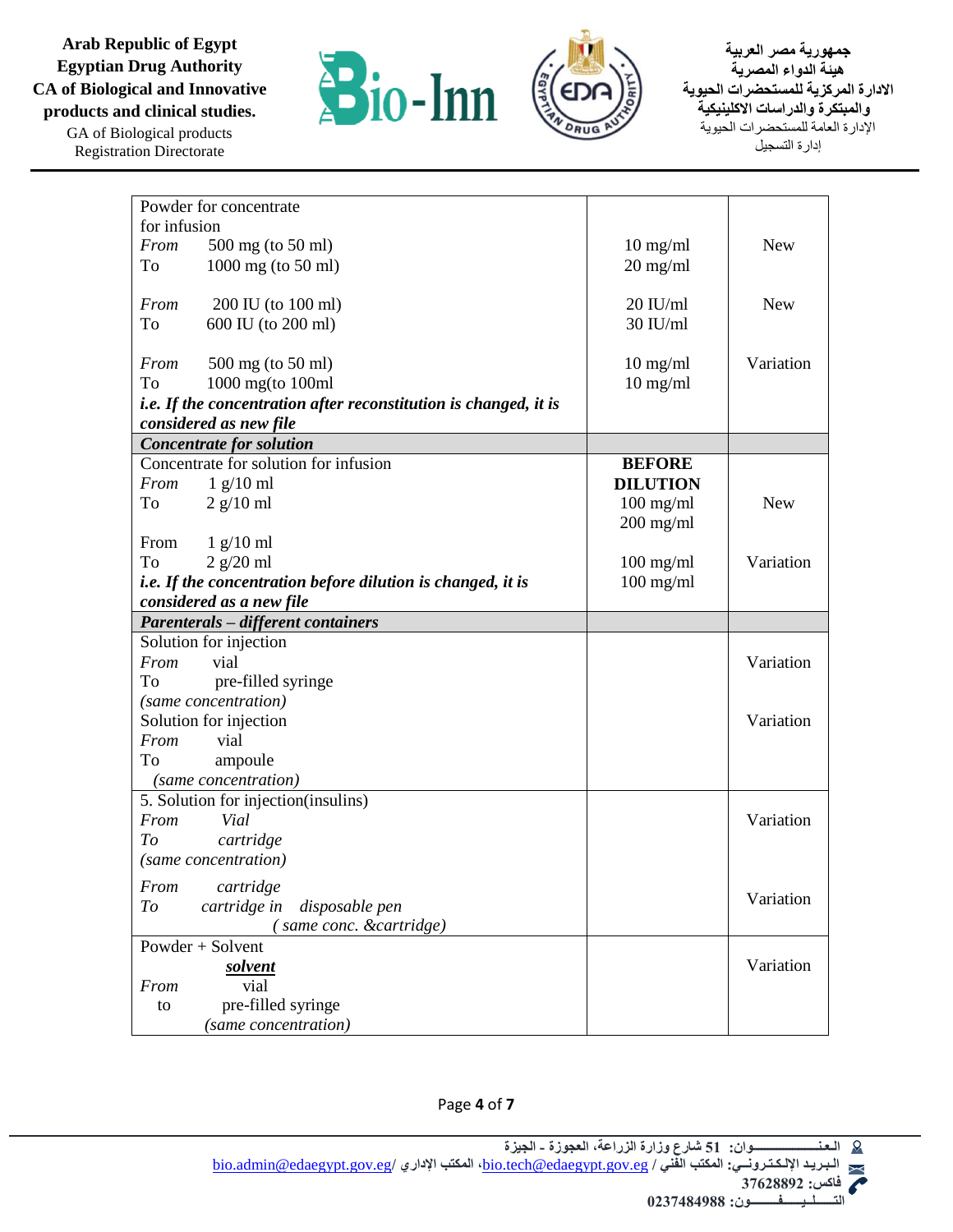**Arab Republic of Egypt Egyptian Drug Authority CA of Biological and Innovative products and clinical studies.** GA of Biological products Registration Directorate





**جمهورية مصر العربية هيئة الدواء المصرية االدارة المركزية للمستحضرات الحيوية والمبتكرة والدراسات االكلينيكية** اإلدارة العامة للمستحضرات الحيوية إدارة التسجيل

| Powder for concentrate                                             |                    |            |
|--------------------------------------------------------------------|--------------------|------------|
| for infusion                                                       |                    |            |
| From<br>500 mg (to 50 ml)                                          | $10$ mg/ml         | <b>New</b> |
| 1000 mg (to 50 ml)<br>To                                           | $20 \text{ mg/ml}$ |            |
|                                                                    |                    |            |
| From<br>200 IU (to 100 ml)                                         | $20$ IU/ml         | <b>New</b> |
| 600 IU (to 200 ml)<br>To                                           | $30$ IU/ml         |            |
|                                                                    |                    |            |
| From<br>500 mg (to 50 ml)                                          | $10$ mg/ml         | Variation  |
| To<br>$1000$ mg(to $100$ ml                                        | $10$ mg/ml         |            |
| i.e. If the concentration after reconstitution is changed, it is   |                    |            |
| considered as new file                                             |                    |            |
| <b>Concentrate for solution</b>                                    |                    |            |
| Concentrate for solution for infusion                              | <b>BEFORE</b>      |            |
| $1$ g/10 ml<br>From                                                | <b>DILUTION</b>    |            |
| $2$ g/10 ml<br>To                                                  | $100$ mg/ml        | <b>New</b> |
|                                                                    | $200$ mg/ml        |            |
| $1$ g/10 ml<br>From                                                |                    |            |
| $2$ g/20 ml<br>To                                                  | $100$ mg/ml        | Variation  |
| <i>i.e.</i> If the concentration before dilution is changed, it is | $100$ mg/ml        |            |
| considered as a new file                                           |                    |            |
| <b>Parenterals – different containers</b>                          |                    |            |
| Solution for injection                                             |                    |            |
| vial<br>From                                                       |                    | Variation  |
| pre-filled syringe<br>To                                           |                    |            |
| (same concentration)                                               |                    |            |
| Solution for injection                                             |                    | Variation  |
| From<br>vial                                                       |                    |            |
| To<br>ampoule                                                      |                    |            |
| (same concentration)                                               |                    |            |
| 5. Solution for injection(insulins)                                |                    |            |
| Vial<br>From                                                       |                    | Variation  |
| cartridge<br>To                                                    |                    |            |
| (same concentration)                                               |                    |            |
| From cartridge                                                     |                    |            |
| cartridge in<br>disposable pen<br>To                               |                    | Variation  |
| (same conc. &cartridge)                                            |                    |            |
| Powder $+$ Solvent                                                 |                    |            |
| solvent                                                            |                    | Variation  |
| vial<br>From                                                       |                    |            |
| pre-filled syringe<br>to                                           |                    |            |
| (same concentration)                                               |                    |            |
|                                                                    |                    |            |

Page **4** of **7**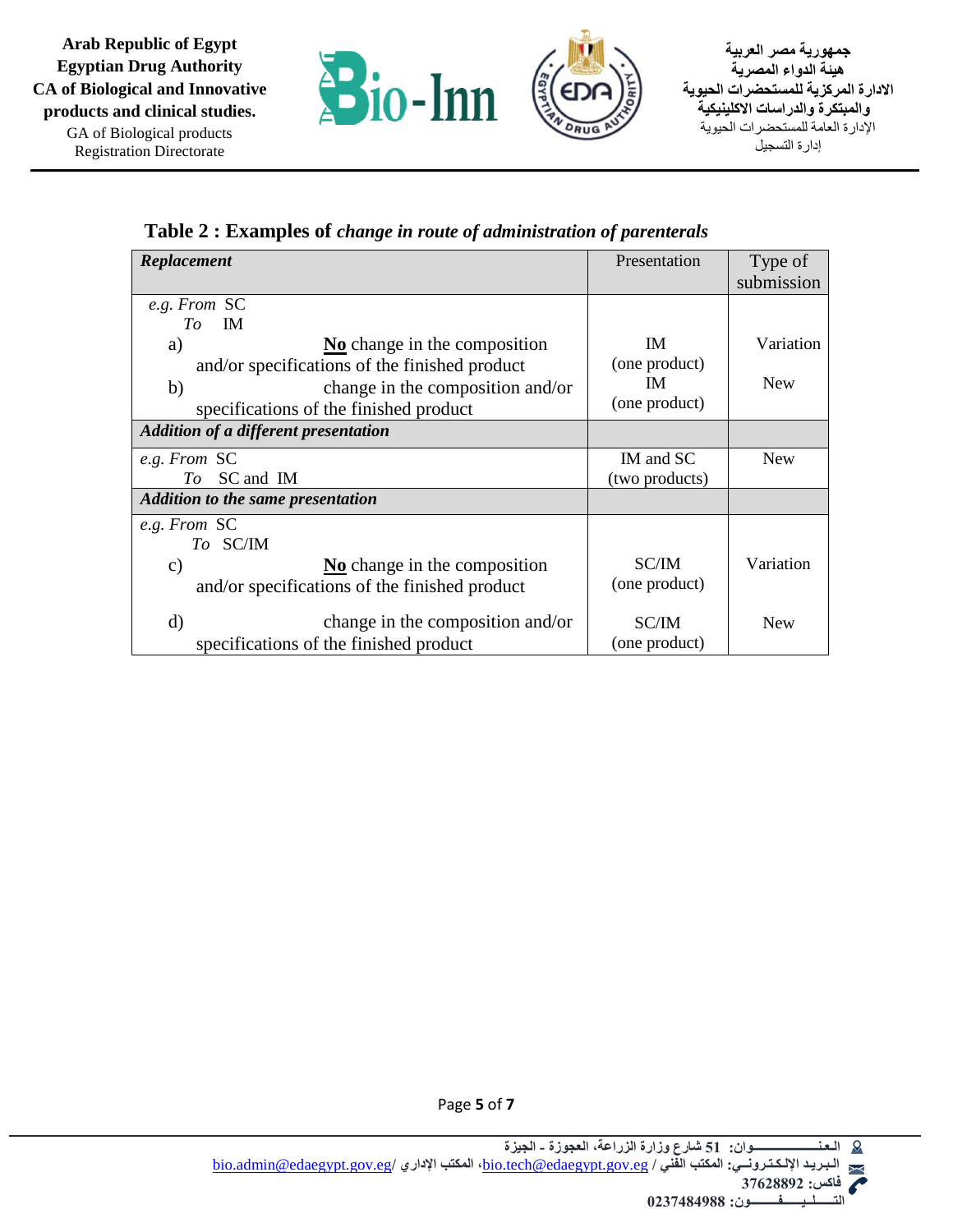

**Table 2 : Examples of** *change in route of administration of parenterals*

| Replacement                                   | Presentation   | Type of    |
|-----------------------------------------------|----------------|------------|
|                                               |                | submission |
| e.g. From SC                                  |                |            |
| IM.<br>To                                     |                |            |
| a)<br>No change in the composition            | <b>IM</b>      | Variation  |
| and/or specifications of the finished product | (one product)  |            |
| change in the composition and/or<br>b)        | <b>IM</b>      | <b>New</b> |
| specifications of the finished product        | (one product)  |            |
| Addition of a different presentation          |                |            |
| e.g. From SC                                  | IM and SC      | <b>New</b> |
| To SC and IM                                  | (two products) |            |
| <b>Addition to the same presentation</b>      |                |            |
| e.g. From SC                                  |                |            |
| To SC/IM                                      |                |            |
| No change in the composition<br>$\mathbf{c})$ | SC/IM          | Variation  |
| and/or specifications of the finished product | (one product)  |            |
| $\rm d)$<br>change in the composition and/or  | <b>SC/IM</b>   | <b>New</b> |
| specifications of the finished product        | (one product)  |            |



Page **5** of **7**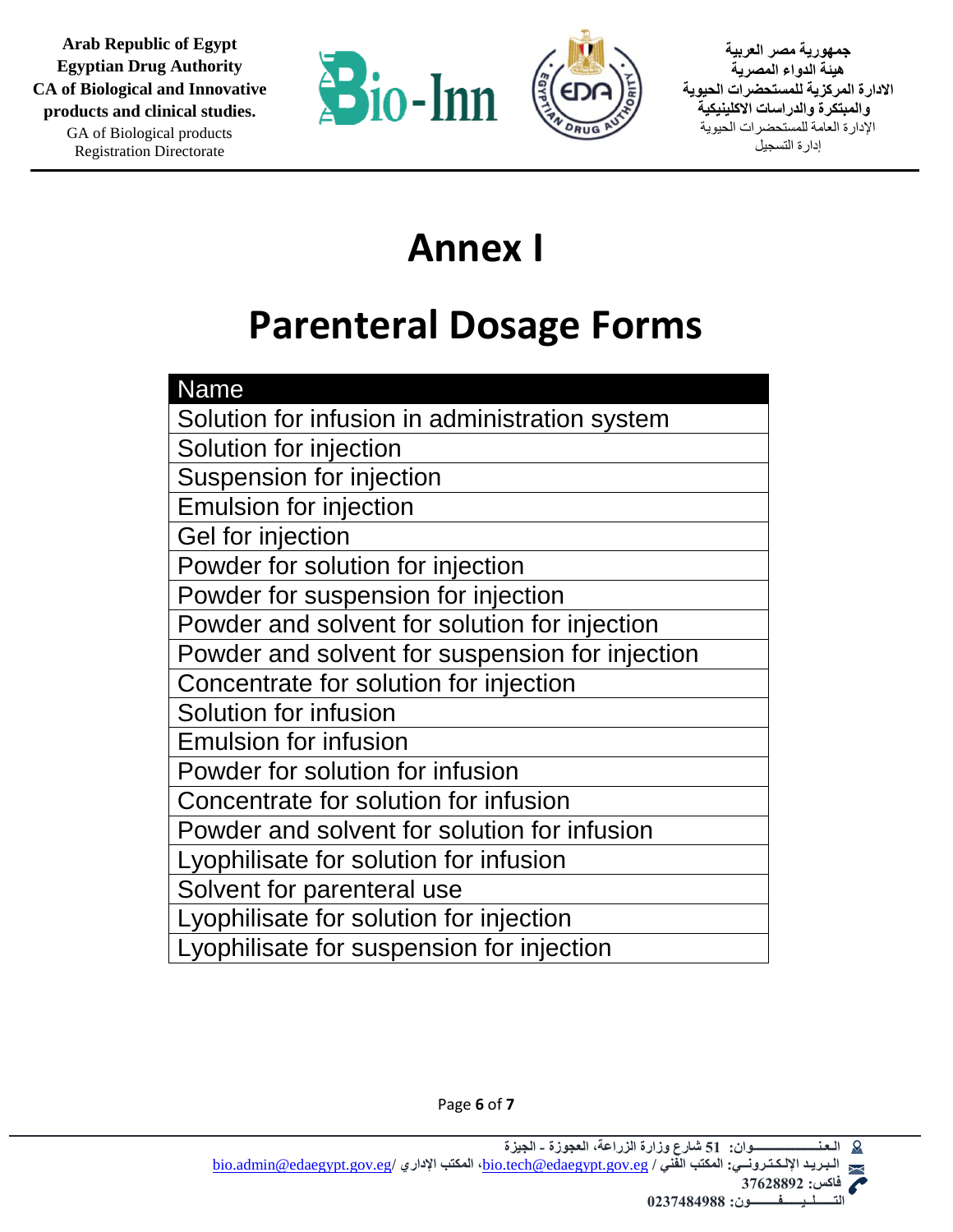



**جمهورية مصر العربية هيئة الدواء المصرية االدارة المركزية للمستحضرات الحيوية والمبتكرة والدراسات االكلينيكية** اإلدارة العامة للمستحضرات الحيوية إدارة التسجيل

## **Annex I**

# **Parenteral Dosage Forms**

| <b>Name</b>                                     |
|-------------------------------------------------|
| Solution for infusion in administration system  |
| Solution for injection                          |
| Suspension for injection                        |
| <b>Emulsion for injection</b>                   |
| Gel for injection                               |
| Powder for solution for injection               |
| Powder for suspension for injection             |
| Powder and solvent for solution for injection   |
| Powder and solvent for suspension for injection |
| Concentrate for solution for injection          |
| Solution for infusion                           |
| <b>Emulsion for infusion</b>                    |
| Powder for solution for infusion                |
| Concentrate for solution for infusion           |
| Powder and solvent for solution for infusion    |
| Lyophilisate for solution for infusion          |
| Solvent for parenteral use                      |
| Lyophilisate for solution for injection         |
| Lyophilisate for suspension for injection       |

Page **6** of **7**

 **التــــــلــيــــــفـــــــــون: 0237484988**